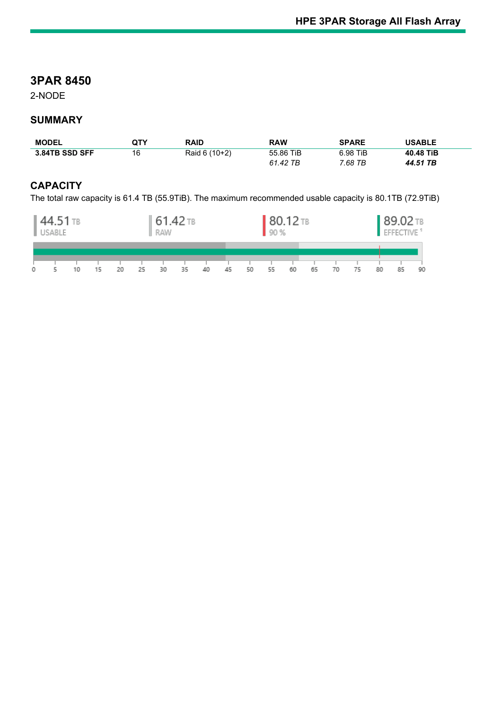# **3PAR 8450**

2-NODE

## **SUMMARY**

| <b>MODEL</b>   | QTY | <b>RAID</b>   | <b>RAW</b> | <b>SPARE</b> | <b>USABLE</b> |
|----------------|-----|---------------|------------|--------------|---------------|
| 3.84TB SSD SFF | 16  | Raid 6 (10+2) | 55.86 TiB  | 6.98 TiB     | 40.48 TiB     |
|                |     |               | 61.42 TB   | 7.68 TB      | 44.51 TB      |

## **CAPACITY**

The total raw capacity is 61.4 TB (55.9TiB). The maximum recommended usable capacity is 80.1TB (72.9TiB)

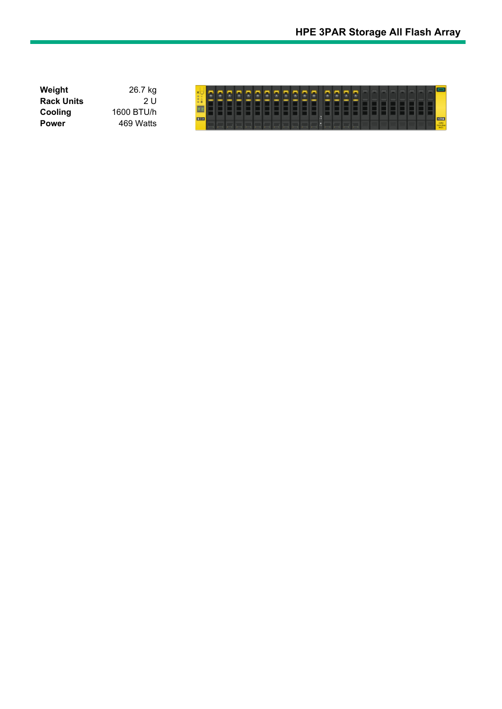| Weight            | 26.7 kg    |            |  |  |  |  |  |  |  |  |  |  |  |  |             |
|-------------------|------------|------------|--|--|--|--|--|--|--|--|--|--|--|--|-------------|
| <b>Rack Units</b> |            |            |  |  |  |  |  |  |  |  |  |  |  |  |             |
| Cooling           | 1600 BTU/h |            |  |  |  |  |  |  |  |  |  |  |  |  |             |
| <b>Power</b>      | 469 Watts  | <b>BOX</b> |  |  |  |  |  |  |  |  |  |  |  |  | <b>DEST</b> |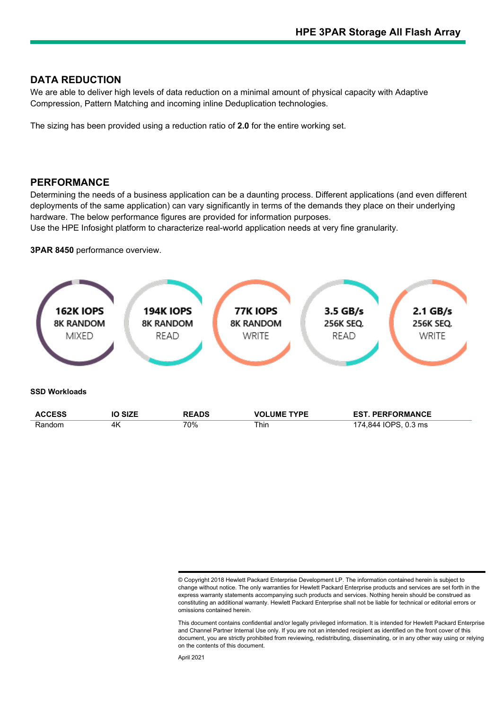### **DATA REDUCTION**

We are able to deliver high levels of data reduction on a minimal amount of physical capacity with Adaptive Compression, Pattern Matching and incoming inline Deduplication technologies.

The sizing has been provided using a reduction ratio of **2.0** for the entire working set.

#### **PERFORMANCE**

Determining the needs of a business application can be a daunting process. Different applications (and even different deployments of the same application) can vary significantly in terms of the demands they place on their underlying hardware. The below performance figures are provided for information purposes.

Use the HPE Infosight platform to characterize real-world application needs at very fine granularity.

**3PAR 8450** performance overview.



<sup>©</sup> Copyright 2018 Hewlett Packard Enterprise Development LP. The information contained herein is subject to change without notice. The only warranties for Hewlett Packard Enterprise products and services are set forth in the express warranty statements accompanying such products and services. Nothing herein should be construed as constituting an additional warranty. Hewlett Packard Enterprise shall not be liable for technical or editorial errors or omissions contained herein.

This document contains confidential and/or legally privileged information. It is intended for Hewlett Packard Enterprise and Channel Partner Internal Use only. If you are not an intended recipient as identified on the front cover of this document, you are strictly prohibited from reviewing, redistributing, disseminating, or in any other way using or relying on the contents of this document.